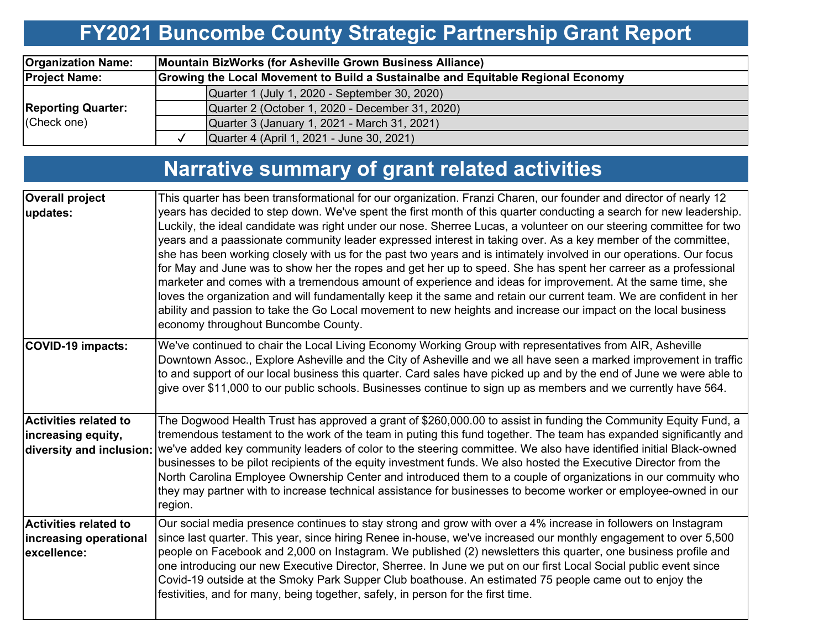# **FY2021 Buncombe County Strategic Partnership Grant Report**

| <b>Organization Name:</b>                | Mountain BizWorks (for Asheville Grown Business Alliance)                        |  |  |  |  |  |  |  |  |
|------------------------------------------|----------------------------------------------------------------------------------|--|--|--|--|--|--|--|--|
| <b>Project Name:</b>                     | Growing the Local Movement to Build a Sustainalbe and Equitable Regional Economy |  |  |  |  |  |  |  |  |
|                                          | Quarter 1 (July 1, 2020 - September 30, 2020)                                    |  |  |  |  |  |  |  |  |
| <b>Reporting Quarter:</b><br>(Check one) | Quarter 2 (October 1, 2020 - December 31, 2020)                                  |  |  |  |  |  |  |  |  |
|                                          | Quarter 3 (January 1, 2021 - March 31, 2021)                                     |  |  |  |  |  |  |  |  |
|                                          | Quarter 4 (April 1, 2021 - June 30, 2021)                                        |  |  |  |  |  |  |  |  |

## **Narrative summary of grant related activities**

| <b>Overall project</b><br>updates:                                    | This quarter has been transformational for our organization. Franzi Charen, our founder and director of nearly 12<br>years has decided to step down. We've spent the first month of this quarter conducting a search for new leadership.<br>Luckily, the ideal candidate was right under our nose. Sherree Lucas, a volunteer on our steering committee for two<br>years and a paassionate community leader expressed interest in taking over. As a key member of the committee,<br>she has been working closely with us for the past two years and is intimately involved in our operations. Our focus<br>for May and June was to show her the ropes and get her up to speed. She has spent her carreer as a professional<br>marketer and comes with a tremendous amount of experience and ideas for improvement. At the same time, she<br>loves the organization and will fundamentally keep it the same and retain our current team. We are confident in her<br>ability and passion to take the Go Local movement to new heights and increase our impact on the local business<br>economy throughout Buncombe County. |
|-----------------------------------------------------------------------|--------------------------------------------------------------------------------------------------------------------------------------------------------------------------------------------------------------------------------------------------------------------------------------------------------------------------------------------------------------------------------------------------------------------------------------------------------------------------------------------------------------------------------------------------------------------------------------------------------------------------------------------------------------------------------------------------------------------------------------------------------------------------------------------------------------------------------------------------------------------------------------------------------------------------------------------------------------------------------------------------------------------------------------------------------------------------------------------------------------------------|
| <b>COVID-19 impacts:</b>                                              | We've continued to chair the Local Living Economy Working Group with representatives from AIR, Asheville<br>Downtown Assoc., Explore Asheville and the City of Asheville and we all have seen a marked improvement in traffic<br>to and support of our local business this quarter. Card sales have picked up and by the end of June we were able to<br>give over \$11,000 to our public schools. Businesses continue to sign up as members and we currently have 564.                                                                                                                                                                                                                                                                                                                                                                                                                                                                                                                                                                                                                                                   |
| <b>Activities related to</b><br>increasing equity,                    | The Dogwood Health Trust has approved a grant of \$260,000.00 to assist in funding the Community Equity Fund, a<br>tremendous testament to the work of the team in puting this fund together. The team has expanded significantly and<br>diversity and inclusion: we've added key community leaders of color to the steering committee. We also have identified initial Black-owned<br>businesses to be pilot recipients of the equity investment funds. We also hosted the Executive Director from the<br>North Carolina Employee Ownership Center and introduced them to a couple of organizations in our commuity who<br>they may partner with to increase technical assistance for businesses to become worker or employee-owned in our<br>region.                                                                                                                                                                                                                                                                                                                                                                   |
| <b>Activities related to</b><br>increasing operational<br>excellence: | Our social media presence continues to stay strong and grow with over a 4% increase in followers on Instagram<br>since last quarter. This year, since hiring Renee in-house, we've increased our monthly engagement to over 5,500<br>people on Facebook and 2,000 on Instagram. We published (2) newsletters this quarter, one business profile and<br>one introducing our new Executive Director, Sherree. In June we put on our first Local Social public event since<br>Covid-19 outside at the Smoky Park Supper Club boathouse. An estimated 75 people came out to enjoy the<br>festivities, and for many, being together, safely, in person for the first time.                                                                                                                                                                                                                                                                                                                                                                                                                                                    |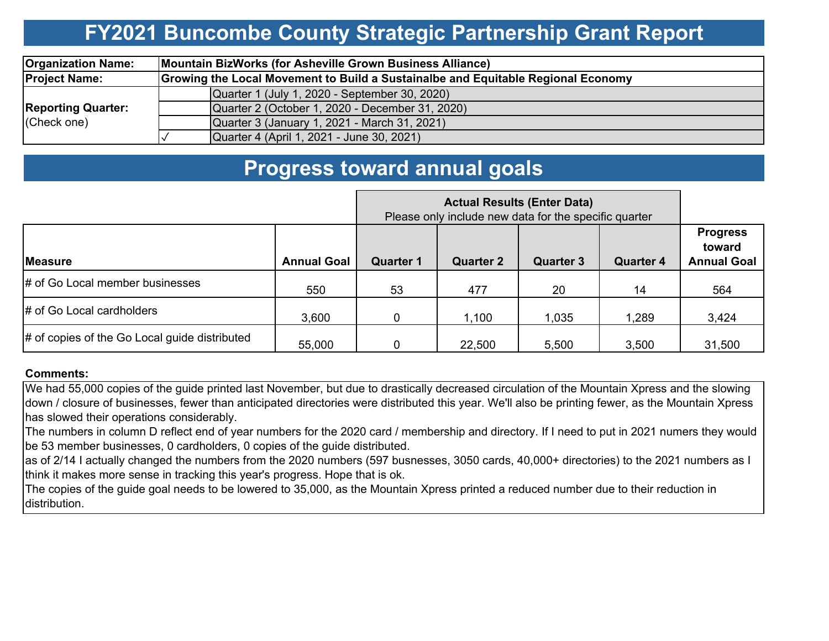### **FY2021 Buncombe County Strategic Partnership Grant Report**

| <b>Organization Name:</b>                | Mountain BizWorks (for Asheville Grown Business Alliance)                        |  |  |  |  |  |  |  |
|------------------------------------------|----------------------------------------------------------------------------------|--|--|--|--|--|--|--|
| <b>Project Name:</b>                     | Growing the Local Movement to Build a Sustainalbe and Equitable Regional Economy |  |  |  |  |  |  |  |
|                                          | Quarter 1 (July 1, 2020 - September 30, 2020)                                    |  |  |  |  |  |  |  |
| <b>Reporting Quarter:</b><br>(Check one) | Quarter 2 (October 1, 2020 - December 31, 2020)                                  |  |  |  |  |  |  |  |
|                                          | Quarter 3 (January 1, 2021 - March 31, 2021)                                     |  |  |  |  |  |  |  |
|                                          | Quarter 4 (April 1, 2021 - June 30, 2021)                                        |  |  |  |  |  |  |  |

### **Progress toward annual goals**

|                                               | Please only include new data for the specific quarter |                  |                  |                  |                  |                                                 |
|-----------------------------------------------|-------------------------------------------------------|------------------|------------------|------------------|------------------|-------------------------------------------------|
| <b>Measure</b>                                | <b>Annual Goal</b>                                    | <b>Quarter 1</b> | <b>Quarter 2</b> | <b>Quarter 3</b> | <b>Quarter 4</b> | <b>Progress</b><br>toward<br><b>Annual Goal</b> |
| # of Go Local member businesses               | 550                                                   | 53               | 477              | 20               | 14               | 564                                             |
| # of Go Local cardholders                     | 3,600                                                 | $\Omega$         | 1,100            | 1,035            | 1,289            | 3,424                                           |
| # of copies of the Go Local guide distributed | 55,000                                                | $\Omega$         | 22,500           | 5,500            | 3,500            | 31,500                                          |

#### **Comments:**

We had 55,000 copies of the guide printed last November, but due to drastically decreased circulation of the Mountain Xpress and the slowing down / closure of businesses, fewer than anticipated directories were distributed this year. We'll also be printing fewer, as the Mountain Xpress has slowed their operations considerably.

The numbers in column D reflect end of year numbers for the 2020 card / membership and directory. If I need to put in 2021 numers they would be 53 member businesses, 0 cardholders, 0 copies of the guide distributed.

as of 2/14 I actually changed the numbers from the 2020 numbers (597 busnesses, 3050 cards, 40,000+ directories) to the 2021 numbers as I think it makes more sense in tracking this year's progress. Hope that is ok.

The copies of the guide goal needs to be lowered to 35,000, as the Mountain Xpress printed a reduced number due to their reduction in distribution.